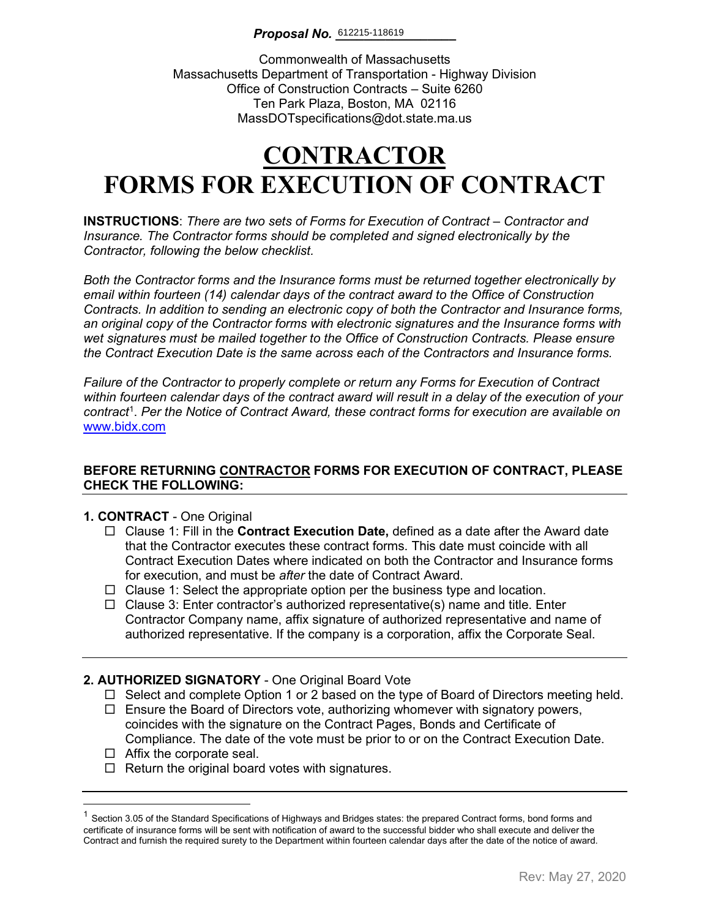### **Proposal No.** 612215-118619

Commonwealth of Massachusetts Massachusetts Department of Transportation - Highway Division Office of Construction Contracts – Suite 6260 Ten Park Plaza, Boston, MA 02116 MassDOTspecifications@dot.state.ma.us

# **CONTRACTOR FORMS FOR EXECUTION OF CONTRACT**

**INSTRUCTIONS**: *There are two sets of Forms for Execution of Contract – Contractor and Insurance. The Contractor forms should be completed and signed electronically by the Contractor, following the below checklist.* 

*Both the Contractor forms and the Insurance forms must be returned together electronically by email within fourteen (14) calendar days of the contract award to the Office of Construction Contracts. In addition to sending an electronic copy of both the Contractor and Insurance forms, an original copy of the Contractor forms with electronic signatures and the Insurance forms with wet signatures must be mailed together to the Office of Construction Contracts. Please ensure the Contract Execution Date is the same across each of the Contractors and Insurance forms.*

*Failure of the Contractor to properly complete or return any Forms for Execution of Contract within fourteen calendar days of the contract award will result in a delay of the execution of your contract*[1](#page-0-0) . *Per the Notice of Contract Award, these contract forms for execution are available on*  [www.bidx.com](http://www.bidx.com/)

### **BEFORE RETURNING CONTRACTOR FORMS FOR EXECUTION OF CONTRACT, PLEASE CHECK THE FOLLOWING:**

### **1. CONTRACT** - One Original

- Clause 1: Fill in the **Contract Execution Date,** defined as a date after the Award date that the Contractor executes these contract forms. This date must coincide with all Contract Execution Dates where indicated on both the Contractor and Insurance forms for execution, and must be *after* the date of Contract Award.
- $\Box$  Clause 1: Select the appropriate option per the business type and location.
- $\Box$  Clause 3: Enter contractor's authorized representative(s) name and title. Enter Contractor Company name, affix signature of authorized representative and name of authorized representative. If the company is a corporation, affix the Corporate Seal.

### **2. AUTHORIZED SIGNATORY** - One Original Board Vote

- $\Box$  Select and complete Option 1 or 2 based on the type of Board of Directors meeting held.
- $\Box$  Ensure the Board of Directors vote, authorizing whomever with signatory powers, coincides with the signature on the Contract Pages, Bonds and Certificate of Compliance. The date of the vote must be prior to or on the Contract Execution Date.
- $\Box$  Affix the corporate seal.
- $\Box$  Return the original board votes with signatures.

<span id="page-0-0"></span> $1$  Section 3.05 of the Standard Specifications of Highways and Bridges states: the prepared Contract forms, bond forms and certificate of insurance forms will be sent with notification of award to the successful bidder who shall execute and deliver the Contract and furnish the required surety to the Department within fourteen calendar days after the date of the notice of award.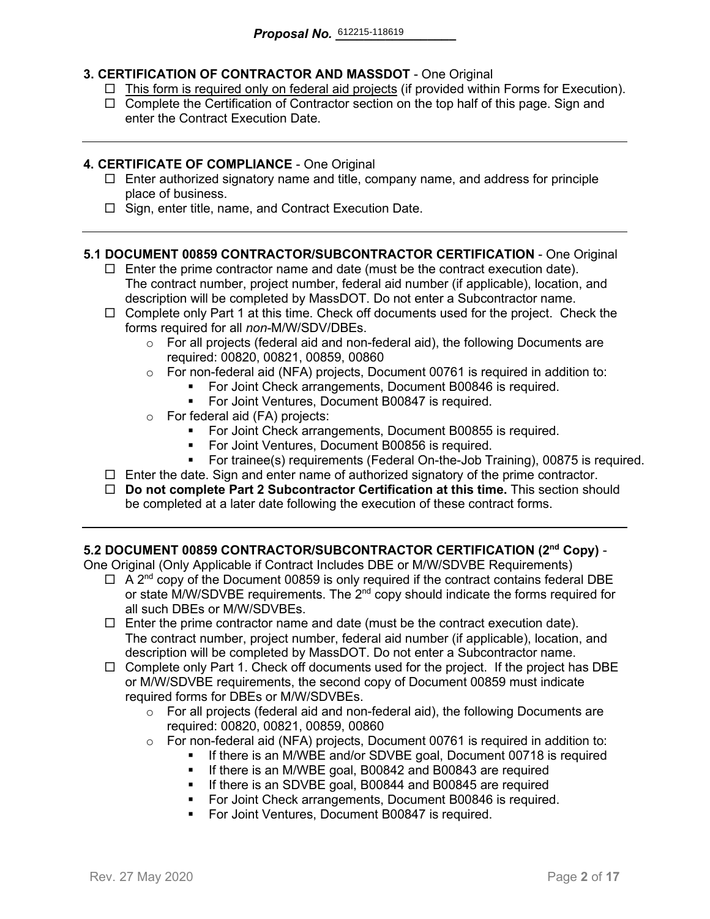### **3. CERTIFICATION OF CONTRACTOR AND MASSDOT** - One Original

- $\Box$  This form is required only on federal aid projects (if provided within Forms for Execution).
- $\Box$  Complete the Certification of Contractor section on the top half of this page. Sign and enter the Contract Execution Date.

### **4. CERTIFICATE OF COMPLIANCE** - One Original

- $\Box$  Enter authorized signatory name and title, company name, and address for principle place of business.
- $\Box$  Sign, enter title, name, and Contract Execution Date.

### **5.1 DOCUMENT 00859 CONTRACTOR/SUBCONTRACTOR CERTIFICATION** - One Original

- $\Box$  Enter the prime contractor name and date (must be the contract execution date). The contract number, project number, federal aid number (if applicable), location, and description will be completed by MassDOT. Do not enter a Subcontractor name.
- $\Box$  Complete only Part 1 at this time. Check off documents used for the project. Check the forms required for all *non-*M/W/SDV/DBEs.
	- $\circ$  For all projects (federal aid and non-federal aid), the following Documents are required: 00820, 00821, 00859, 00860
	- o For non-federal aid (NFA) projects, Document 00761 is required in addition to:
		- For Joint Check arrangements, Document B00846 is required.
		- **For Joint Ventures, Document B00847 is required.**
	- o For federal aid (FA) projects:
		- **For Joint Check arrangements, Document B00855 is required.**
		- For Joint Ventures, Document B00856 is required.
		- For trainee(s) requirements (Federal On-the-Job Training), 00875 is required.
- $\Box$  Enter the date. Sign and enter name of authorized signatory of the prime contractor.
- **Do not complete Part 2 Subcontractor Certification at this time.** This section should be completed at a later date following the execution of these contract forms.

### **5.2 DOCUMENT 00859 CONTRACTOR/SUBCONTRACTOR CERTIFICATION (2nd Copy)** -

One Original (Only Applicable if Contract Includes DBE or M/W/SDVBE Requirements)

- $\Box$  A 2<sup>nd</sup> copy of the Document 00859 is only required if the contract contains federal DBE or state M/W/SDVBE requirements. The  $2^{nd}$  copy should indicate the forms required for all such DBEs or M/W/SDVBEs.
- $\Box$  Enter the prime contractor name and date (must be the contract execution date). The contract number, project number, federal aid number (if applicable), location, and description will be completed by MassDOT. Do not enter a Subcontractor name.
- $\Box$  Complete only Part 1. Check off documents used for the project. If the project has DBE or M/W/SDVBE requirements, the second copy of Document 00859 must indicate required forms for DBEs or M/W/SDVBEs.
	- $\circ$  For all projects (federal aid and non-federal aid), the following Documents are required: 00820, 00821, 00859, 00860
	- o For non-federal aid (NFA) projects, Document 00761 is required in addition to:
		- If there is an M/WBE and/or SDVBE goal, Document 00718 is required
			- **If there is an M/WBE goal, B00842 and B00843 are required**
		- **If there is an SDVBE goal, B00844 and B00845 are required**
		- **For Joint Check arrangements, Document B00846 is required.**
		- **For Joint Ventures, Document B00847 is required.**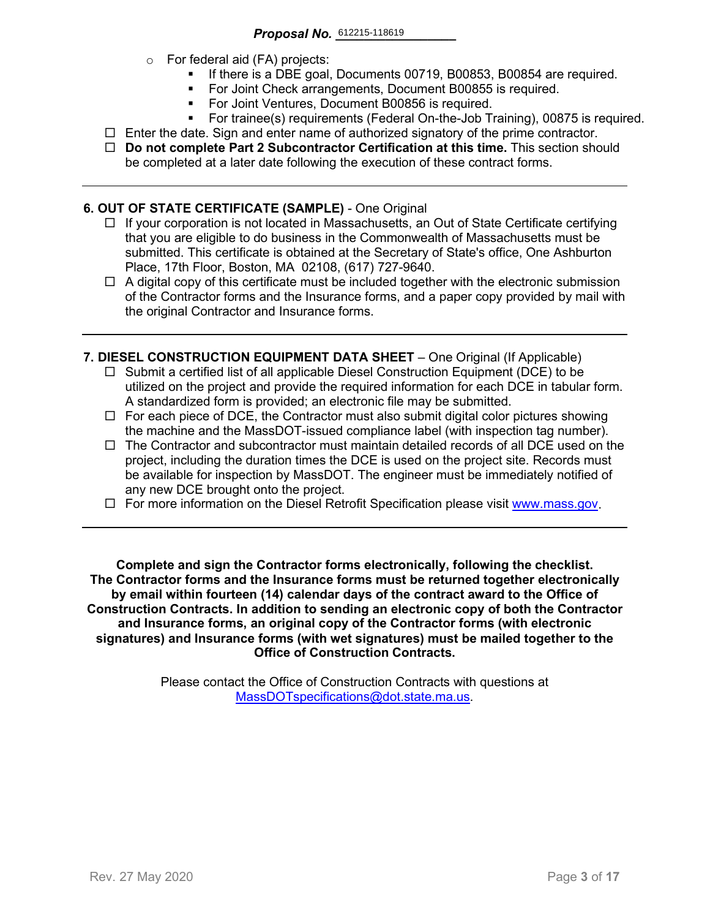- o For federal aid (FA) projects:
	- If there is a DBE goal, Documents 00719, B00853, B00854 are required.
	- For Joint Check arrangements, Document B00855 is required.
	- **For Joint Ventures, Document B00856 is required.**
	- For trainee(s) requirements (Federal On-the-Job Training), 00875 is required.
- $\Box$  Enter the date. Sign and enter name of authorized signatory of the prime contractor.
- **Do not complete Part 2 Subcontractor Certification at this time.** This section should be completed at a later date following the execution of these contract forms.

### **6. OUT OF STATE CERTIFICATE (SAMPLE)** - One Original

- $\Box$  If your corporation is not located in Massachusetts, an Out of State Certificate certifying that you are eligible to do business in the Commonwealth of Massachusetts must be submitted. This certificate is obtained at the Secretary of State's office, One Ashburton Place, 17th Floor, Boston, MA 02108, (617) 727-9640.
- $\Box$  A digital copy of this certificate must be included together with the electronic submission of the Contractor forms and the Insurance forms, and a paper copy provided by mail with the original Contractor and Insurance forms.
- **7. DIESEL CONSTRUCTION EQUIPMENT DATA SHEET** One Original (If Applicable)
	- $\Box$  Submit a certified list of all applicable Diesel Construction Equipment (DCE) to be utilized on the project and provide the required information for each DCE in tabular form. A standardized form is provided; an electronic file may be submitted.
	- $\Box$  For each piece of DCE, the Contractor must also submit digital color pictures showing the machine and the MassDOT-issued compliance label (with inspection tag number).
	- $\Box$  The Contractor and subcontractor must maintain detailed records of all DCE used on the project, including the duration times the DCE is used on the project site. Records must be available for inspection by MassDOT. The engineer must be immediately notified of any new DCE brought onto the project.
	- $\Box$  For more information on the Diesel Retrofit Specification please visit [www.mass.gov.](https://www.mass.gov/service-details/massdot-diesel-retrofit-specification)

**Complete and sign the Contractor forms electronically, following the checklist. The Contractor forms and the Insurance forms must be returned together electronically by email within fourteen (14) calendar days of the contract award to the Office of Construction Contracts. In addition to sending an electronic copy of both the Contractor and Insurance forms, an original copy of the Contractor forms (with electronic signatures) and Insurance forms (with wet signatures) must be mailed together to the Office of Construction Contracts.**

> Please contact the Office of Construction Contracts with questions at [MassDOTspecifications@dot.state.ma.us.](mailto:MassDOTspecifications@dot.state.ma.us)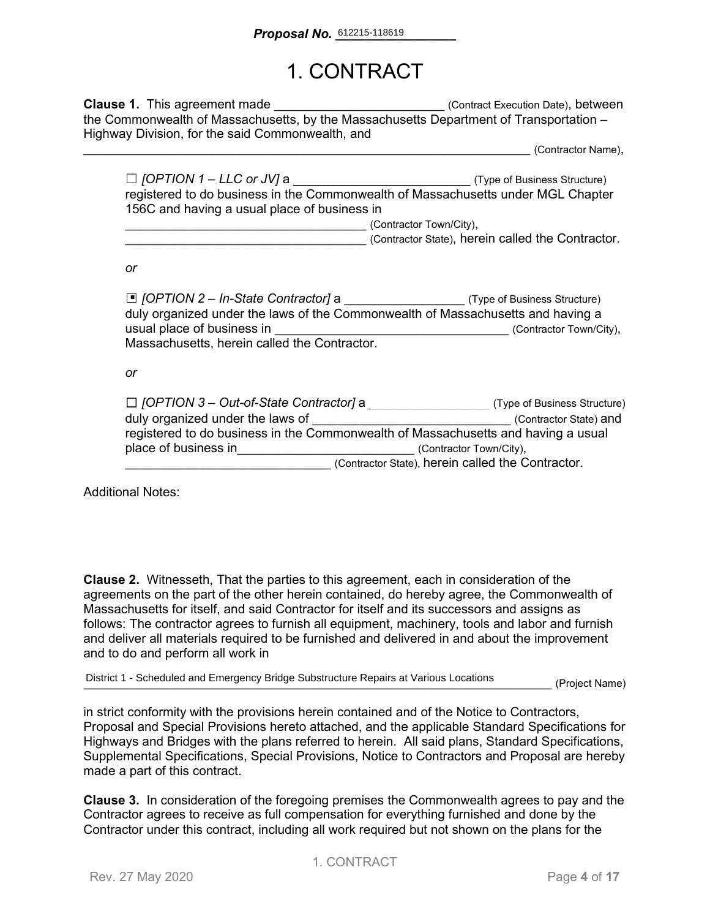## 1. CONTRACT

**Clause 1.** This agreement made **Execution Datel** (Contract Execution Date), between the Commonwealth of Massachusetts, by the Massachusetts Department of Transportation – Highway Division, for the said Commonwealth, and

\_\_\_\_\_\_\_\_\_\_\_\_\_\_\_\_\_\_\_\_\_\_\_\_\_\_\_\_\_\_\_\_\_\_\_\_\_\_\_\_\_\_\_\_\_\_\_\_\_\_\_\_\_\_\_\_\_\_\_\_\_\_\_ (Contractor Name),

| $\Box$ [OPTION 1 – LLC or JV] a              | (Type of Business Structure)                                                     |
|----------------------------------------------|----------------------------------------------------------------------------------|
|                                              | registered to do business in the Commonwealth of Massachusetts under MGL Chapter |
| 156C and having a usual place of business in |                                                                                  |
|                                              | (Contractor Town/City),                                                          |

(Contractor State), herein called the Contractor.

*or*

| □ [OPTION 2 - In-State Contractor] a<br>duly organized under the laws of the Commonwealth of Massachusetts and having a | (Type of Business Structure)                      |
|-------------------------------------------------------------------------------------------------------------------------|---------------------------------------------------|
| usual place of business in                                                                                              | (Contractor Town/City),                           |
| Massachusetts, herein called the Contractor.                                                                            |                                                   |
|                                                                                                                         |                                                   |
| or                                                                                                                      |                                                   |
|                                                                                                                         |                                                   |
| $\Box$ [OPTION 3 – Out-of-State Contractor] a                                                                           | (Type of Business Structure)                      |
| duly organized under the laws of                                                                                        | (Contractor State) and                            |
| registered to do business in the Commonwealth of Massachusetts and having a usual                                       |                                                   |
| place of business in                                                                                                    | (Contractor Town/City),                           |
|                                                                                                                         | (Contractor State), herein called the Contractor. |

Additional Notes:

**Clause 2.** Witnesseth, That the parties to this agreement, each in consideration of the agreements on the part of the other herein contained, do hereby agree, the Commonwealth of Massachusetts for itself, and said Contractor for itself and its successors and assigns as follows: The contractor agrees to furnish all equipment, machinery, tools and labor and furnish and deliver all materials required to be furnished and delivered in and about the improvement and to do and perform all work in

District 1 - Scheduled and Emergency Bridge Substructure Repairs at Various Locations<br> **Community** (Project Name)

in strict conformity with the provisions herein contained and of the Notice to Contractors, Proposal and Special Provisions hereto attached, and the applicable Standard Specifications for Highways and Bridges with the plans referred to herein. All said plans, Standard Specifications, Supplemental Specifications, Special Provisions, Notice to Contractors and Proposal are hereby made a part of this contract.

**Clause 3.** In consideration of the foregoing premises the Commonwealth agrees to pay and the Contractor agrees to receive as full compensation for everything furnished and done by the Contractor under this contract, including all work required but not shown on the plans for the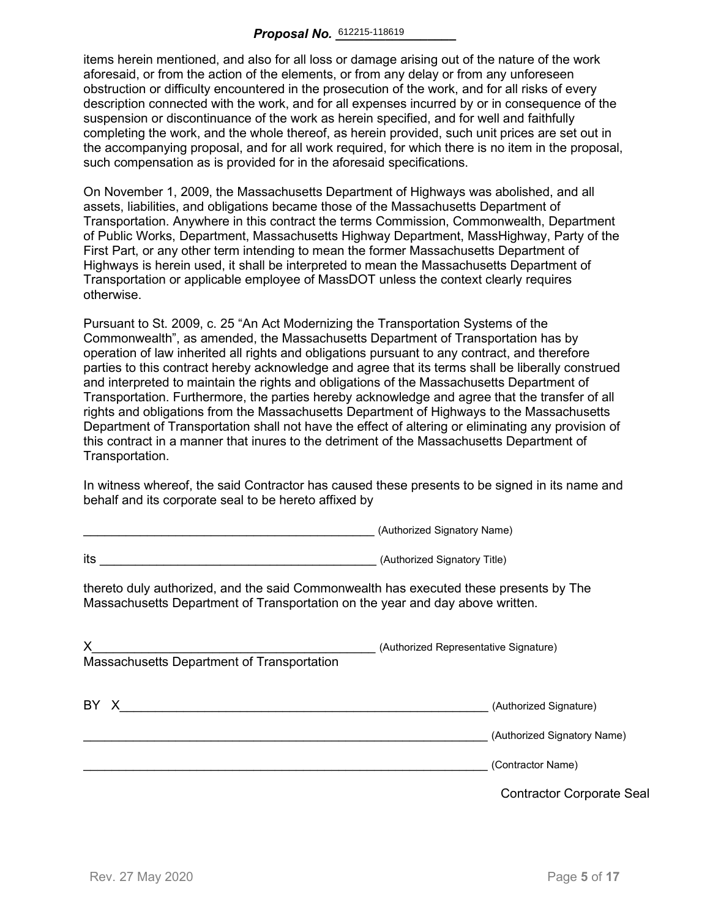items herein mentioned, and also for all loss or damage arising out of the nature of the work aforesaid, or from the action of the elements, or from any delay or from any unforeseen obstruction or difficulty encountered in the prosecution of the work, and for all risks of every description connected with the work, and for all expenses incurred by or in consequence of the suspension or discontinuance of the work as herein specified, and for well and faithfully completing the work, and the whole thereof, as herein provided, such unit prices are set out in the accompanying proposal, and for all work required, for which there is no item in the proposal, such compensation as is provided for in the aforesaid specifications.

On November 1, 2009, the Massachusetts Department of Highways was abolished, and all assets, liabilities, and obligations became those of the Massachusetts Department of Transportation. Anywhere in this contract the terms Commission, Commonwealth, Department of Public Works, Department, Massachusetts Highway Department, MassHighway, Party of the First Part, or any other term intending to mean the former Massachusetts Department of Highways is herein used, it shall be interpreted to mean the Massachusetts Department of Transportation or applicable employee of MassDOT unless the context clearly requires otherwise.

Pursuant to St. 2009, c. 25 "An Act Modernizing the Transportation Systems of the Commonwealth", as amended, the Massachusetts Department of Transportation has by operation of law inherited all rights and obligations pursuant to any contract, and therefore parties to this contract hereby acknowledge and agree that its terms shall be liberally construed and interpreted to maintain the rights and obligations of the Massachusetts Department of Transportation. Furthermore, the parties hereby acknowledge and agree that the transfer of all rights and obligations from the Massachusetts Department of Highways to the Massachusetts Department of Transportation shall not have the effect of altering or eliminating any provision of this contract in a manner that inures to the detriment of the Massachusetts Department of Transportation.

In witness whereof, the said Contractor has caused these presents to be signed in its name and behalf and its corporate seal to be hereto affixed by

\_\_\_\_\_\_\_\_\_\_\_\_\_\_\_\_\_\_\_\_\_\_\_\_\_\_\_\_\_\_\_\_\_\_\_\_\_\_\_\_\_ (Authorized Signatory Name)

|                                                                                                                                                                        | $\alpha$                                         |
|------------------------------------------------------------------------------------------------------------------------------------------------------------------------|--------------------------------------------------|
| its<br><u> 1989 - Johann Barbara, martin amerikan basar dan berasal dalam basa dalam basar dalam basar dalam basar dala</u>                                            | (Authorized Signatory Title)                     |
| thereto duly authorized, and the said Commonwealth has executed these presents by The<br>Massachusetts Department of Transportation on the year and day above written. |                                                  |
| X.<br>Massachusetts Department of Transportation                                                                                                                       | (Authorized Representative Signature)            |
| BY X                                                                                                                                                                   | (Authorized Signature)                           |
|                                                                                                                                                                        | (Authorized Signatory Name)<br>(Contractor Name) |
|                                                                                                                                                                        | <b>Contractor Corporate Seal</b>                 |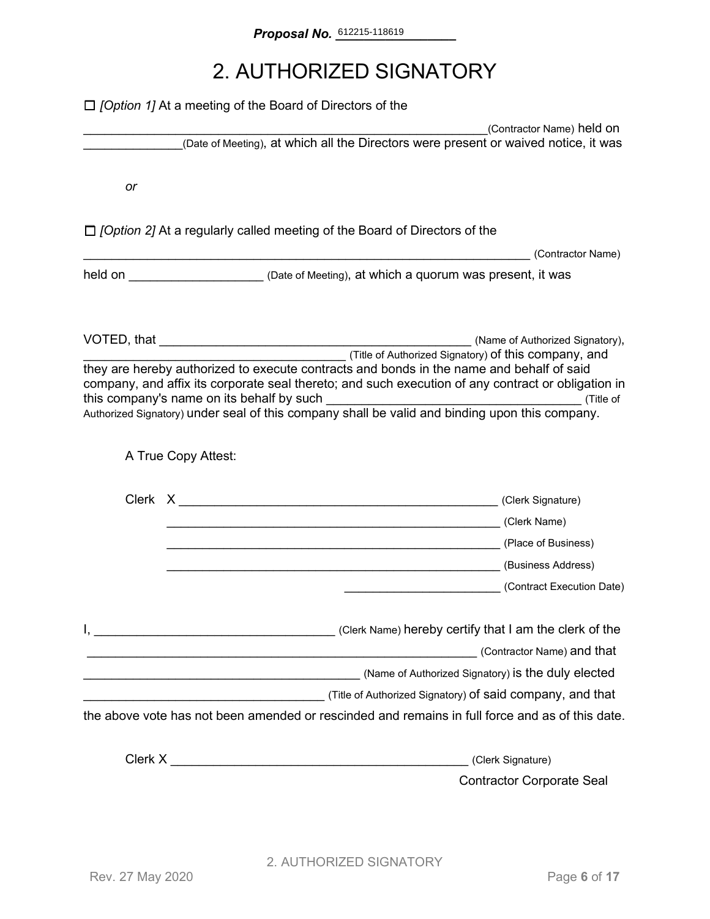## 2. AUTHORIZED SIGNATORY

|    | $\Box$ [Option 1] At a meeting of the Board of Directors of the                                                                                                                                                                             |                                                       |
|----|---------------------------------------------------------------------------------------------------------------------------------------------------------------------------------------------------------------------------------------------|-------------------------------------------------------|
|    | (Date of Meeting), at which all the Directors were present or waived notice, it was                                                                                                                                                         | (Contractor Name) held on                             |
| or |                                                                                                                                                                                                                                             |                                                       |
|    | $\Box$ [Option 2] At a regularly called meeting of the Board of Directors of the                                                                                                                                                            |                                                       |
|    | (Contractor Name) (Contractor Name)<br>held on ________________________ (Date of Meeting), at which a quorum was present, it was                                                                                                            |                                                       |
|    | they are hereby authorized to execute contracts and bonds in the name and behalf of said<br>company, and affix its corporate seal thereto; and such execution of any contract or obligation in<br>this company's name on its behalf by such | Title of Authorized Signatory) of this company, and   |
|    | A True Copy Attest:                                                                                                                                                                                                                         |                                                       |
|    | Later of Business)<br>Later of Business)                                                                                                                                                                                                    | (Contract Execution Date)                             |
|    | (Contractor Name) and that<br>(Name of Authorized Signatory) is the duly elected<br>the above vote has not been amended or rescinded and remains in full force and as of this date.                                                         |                                                       |
|    |                                                                                                                                                                                                                                             |                                                       |
|    |                                                                                                                                                                                                                                             | (Clerk Signature)<br><b>Contractor Corporate Seal</b> |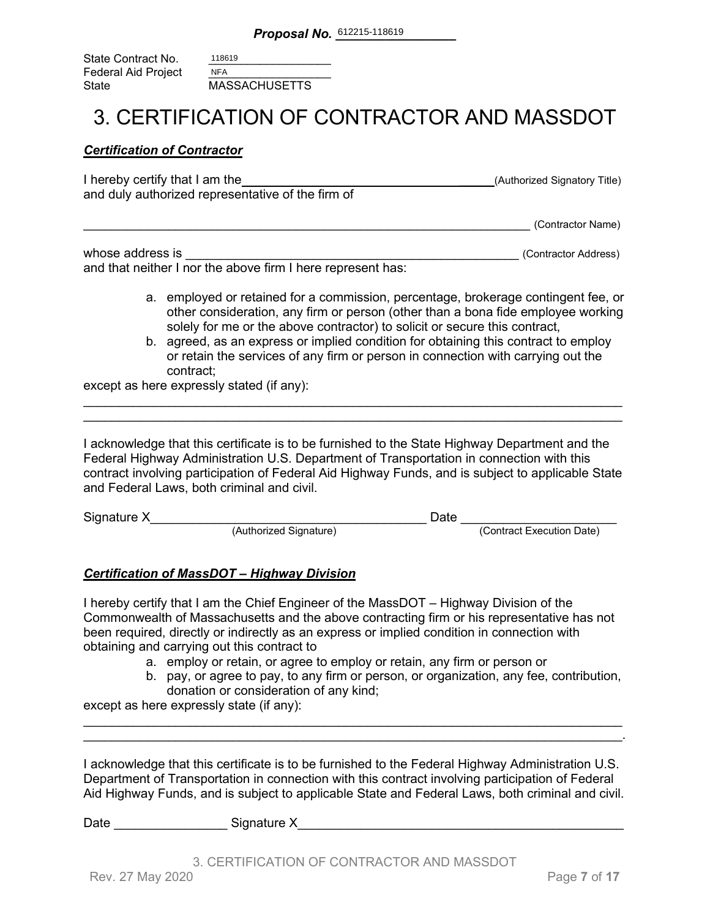| State Contract No.  | 118619               |
|---------------------|----------------------|
| Federal Aid Project | <b>NFA</b>           |
| State               | <b>MASSACHUSETTS</b> |

### 3. CERTIFICATION OF CONTRACTOR AND MASSDOT

#### *Certification of Contractor*

| I hereby certify that I am the                    | (Authorized Signatory Title) |
|---------------------------------------------------|------------------------------|
| and duly authorized representative of the firm of |                              |
|                                                   |                              |

\_\_\_\_\_\_\_\_\_\_\_\_\_\_\_\_\_\_\_\_\_\_\_\_\_\_\_\_\_\_\_\_\_\_\_\_\_\_\_\_\_\_\_\_\_\_\_\_\_\_\_\_\_\_\_\_\_\_\_\_\_\_\_ (Contractor Name)

| whose address is                                            | (Contractor Address) |
|-------------------------------------------------------------|----------------------|
| and that neither I nor the above firm I here represent has: |                      |

- a. employed or retained for a commission, percentage, brokerage contingent fee, or other consideration, any firm or person (other than a bona fide employee working solely for me or the above contractor) to solicit or secure this contract,
- b. agreed, as an express or implied condition for obtaining this contract to employ or retain the services of any firm or person in connection with carrying out the contract;

except as here expressly stated (if any):

I acknowledge that this certificate is to be furnished to the State Highway Department and the Federal Highway Administration U.S. Department of Transportation in connection with this contract involving participation of Federal Aid Highway Funds, and is subject to applicable State and Federal Laws, both criminal and civil.

\_\_\_\_\_\_\_\_\_\_\_\_\_\_\_\_\_\_\_\_\_\_\_\_\_\_\_\_\_\_\_\_\_\_\_\_\_\_\_\_\_\_\_\_\_\_\_\_\_\_\_\_\_\_\_\_\_\_\_\_\_\_\_\_\_\_\_\_\_\_\_\_\_\_\_\_ \_\_\_\_\_\_\_\_\_\_\_\_\_\_\_\_\_\_\_\_\_\_\_\_\_\_\_\_\_\_\_\_\_\_\_\_\_\_\_\_\_\_\_\_\_\_\_\_\_\_\_\_\_\_\_\_\_\_\_\_\_\_\_\_\_\_\_\_\_\_\_\_\_\_\_\_

| Signature X |                        | Jate |                           |
|-------------|------------------------|------|---------------------------|
|             | (Authorized Signature) |      | (Contract Execution Date) |

### *Certification of MassDOT – Highway Division*

I hereby certify that I am the Chief Engineer of the MassDOT – Highway Division of the Commonwealth of Massachusetts and the above contracting firm or his representative has not been required, directly or indirectly as an express or implied condition in connection with obtaining and carrying out this contract to

- a. employ or retain, or agree to employ or retain, any firm or person or
- b. pay, or agree to pay, to any firm or person, or organization, any fee, contribution, donation or consideration of any kind;

except as here expressly state (if any):

I acknowledge that this certificate is to be furnished to the Federal Highway Administration U.S. Department of Transportation in connection with this contract involving participation of Federal Aid Highway Funds, and is subject to applicable State and Federal Laws, both criminal and civil.

\_\_\_\_\_\_\_\_\_\_\_\_\_\_\_\_\_\_\_\_\_\_\_\_\_\_\_\_\_\_\_\_\_\_\_\_\_\_\_\_\_\_\_\_\_\_\_\_\_\_\_\_\_\_\_\_\_\_\_\_\_\_\_\_\_\_\_\_\_\_\_\_\_\_\_\_ \_\_\_\_\_\_\_\_\_\_\_\_\_\_\_\_\_\_\_\_\_\_\_\_\_\_\_\_\_\_\_\_\_\_\_\_\_\_\_\_\_\_\_\_\_\_\_\_\_\_\_\_\_\_\_\_\_\_\_\_\_\_\_\_\_\_\_\_\_\_\_\_\_\_\_\_.

| Date | Signature X |
|------|-------------|
|      |             |

3. CERTIFICATION OF CONTRACTOR AND MASSDOT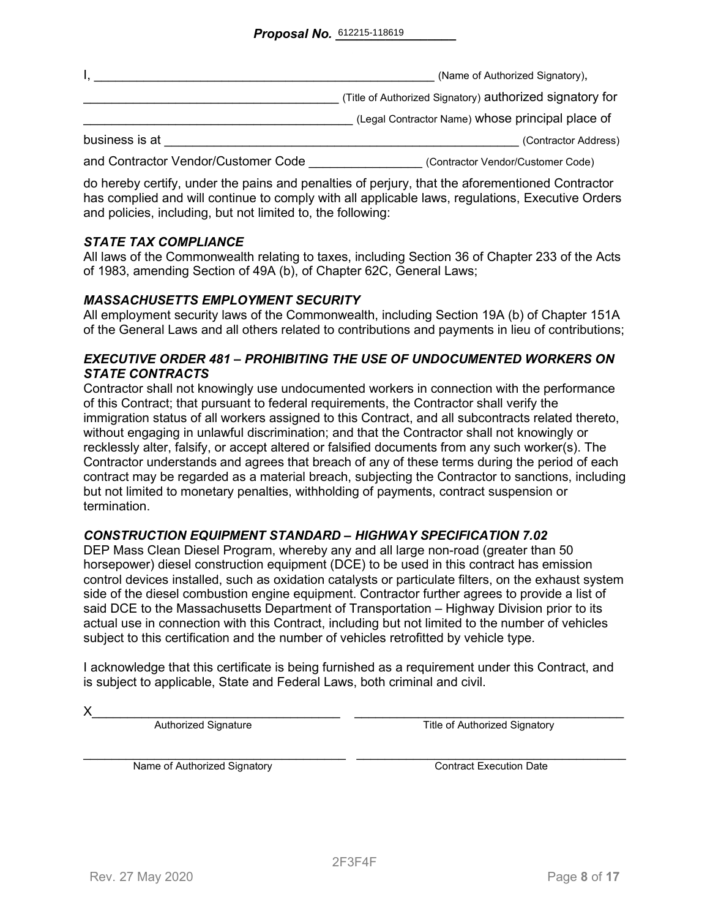|                                     | (Name of Authorized Signatory),                          |
|-------------------------------------|----------------------------------------------------------|
|                                     | (Title of Authorized Signatory) authorized signatory for |
|                                     | (Legal Contractor Name) whose principal place of         |
| business is at                      | (Contractor Address)                                     |
| and Contractor Vendor/Customer Code | (Contractor Vendor/Customer Code)                        |

do hereby certify, under the pains and penalties of perjury, that the aforementioned Contractor has complied and will continue to comply with all applicable laws, regulations, Executive Orders and policies, including, but not limited to, the following:

### *STATE TAX COMPLIANCE*

All laws of the Commonwealth relating to taxes, including Section 36 of Chapter 233 of the Acts of 1983, amending Section of 49A (b), of Chapter 62C, General Laws;

### *MASSACHUSETTS EMPLOYMENT SECURITY*

All employment security laws of the Commonwealth, including Section 19A (b) of Chapter 151A of the General Laws and all others related to contributions and payments in lieu of contributions;

### *EXECUTIVE ORDER 481 – PROHIBITING THE USE OF UNDOCUMENTED WORKERS ON STATE CONTRACTS*

Contractor shall not knowingly use undocumented workers in connection with the performance of this Contract; that pursuant to federal requirements, the Contractor shall verify the immigration status of all workers assigned to this Contract, and all subcontracts related thereto, without engaging in unlawful discrimination; and that the Contractor shall not knowingly or recklessly alter, falsify, or accept altered or falsified documents from any such worker(s). The Contractor understands and agrees that breach of any of these terms during the period of each contract may be regarded as a material breach, subjecting the Contractor to sanctions, including but not limited to monetary penalties, withholding of payments, contract suspension or termination.

### *CONSTRUCTION EQUIPMENT STANDARD – HIGHWAY SPECIFICATION 7.02*

DEP Mass Clean Diesel Program, whereby any and all large non-road (greater than 50 horsepower) diesel construction equipment (DCE) to be used in this contract has emission control devices installed, such as oxidation catalysts or particulate filters, on the exhaust system side of the diesel combustion engine equipment. Contractor further agrees to provide a list of said DCE to the Massachusetts Department of Transportation – Highway Division prior to its actual use in connection with this Contract, including but not limited to the number of vehicles subject to this certification and the number of vehicles retrofitted by vehicle type.

I acknowledge that this certificate is being furnished as a requirement under this Contract, and is subject to applicable, State and Federal Laws, both criminal and civil.

X\_\_\_\_\_\_\_\_\_\_\_\_\_\_\_\_\_\_\_\_\_\_\_\_\_\_\_\_\_\_\_\_\_\_\_ \_\_\_\_\_\_\_\_\_\_\_\_\_\_\_\_\_\_\_\_\_\_\_\_\_\_\_\_\_\_\_\_\_\_\_\_\_\_ Authorized Signature Title of Authorized Signatory

Name of Authorized Signatory **Execution Contract Execution Date**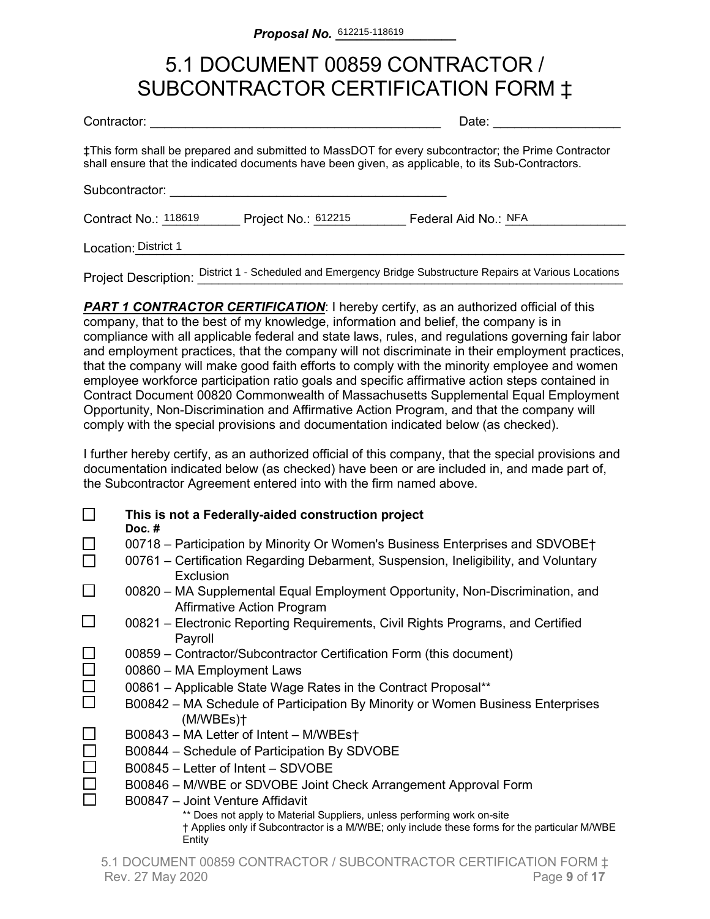## 5.1 DOCUMENT 00859 CONTRACTOR / SUBCONTRACTOR CERTIFICATION FORM ‡

| Contractor: |  |
|-------------|--|
|             |  |

Date:  $\Box$ 

‡This form shall be prepared and submitted to MassDOT for every subcontractor; the Prime Contractor shall ensure that the indicated documents have been given, as applicable, to its Sub-Contractors.

Subcontractor:

Contract No.: 118619 \_\_\_\_\_\_ Project No.: 612215 \_\_\_\_\_\_\_\_ Federal Aid No.: NFA \_\_\_\_\_\_\_\_\_

Location:\_\_\_\_\_\_\_\_\_\_\_\_\_\_\_\_\_\_\_\_\_\_\_\_\_\_\_\_\_\_\_\_\_\_\_\_\_\_\_\_\_\_\_\_\_\_\_\_\_\_\_\_\_\_\_\_\_\_\_\_\_\_\_\_\_\_\_\_\_ District 1

Project Description: District 1 - Scheduled and Emergency Bridge Substructure Repairs at Various Locations

**PART 1 CONTRACTOR CERTIFICATION:** I hereby certify, as an authorized official of this company, that to the best of my knowledge, information and belief, the company is in compliance with all applicable federal and state laws, rules, and regulations governing fair labor and employment practices, that the company will not discriminate in their employment practices, that the company will make good faith efforts to comply with the minority employee and women employee workforce participation ratio goals and specific affirmative action steps contained in Contract Document 00820 Commonwealth of Massachusetts Supplemental Equal Employment Opportunity, Non-Discrimination and Affirmative Action Program, and that the company will comply with the special provisions and documentation indicated below (as checked).

I further hereby certify, as an authorized official of this company, that the special provisions and documentation indicated below (as checked) have been or are included in, and made part of, the Subcontractor Agreement entered into with the firm named above.

|        | This is not a Federally-aided construction project<br>Doc. $#$                                                                                                                     |
|--------|------------------------------------------------------------------------------------------------------------------------------------------------------------------------------------|
|        | 00718 – Participation by Minority Or Women's Business Enterprises and SDVOBE†                                                                                                      |
|        | 00761 – Certification Regarding Debarment, Suspension, Ineligibility, and Voluntary<br>Exclusion                                                                                   |
|        | 00820 – MA Supplemental Equal Employment Opportunity, Non-Discrimination, and<br><b>Affirmative Action Program</b>                                                                 |
|        | 00821 – Electronic Reporting Requirements, Civil Rights Programs, and Certified<br>Payroll                                                                                         |
|        | 00859 – Contractor/Subcontractor Certification Form (this document)                                                                                                                |
| $\Box$ | 00860 - MA Employment Laws                                                                                                                                                         |
| $\Box$ | 00861 - Applicable State Wage Rates in the Contract Proposal**                                                                                                                     |
|        | B00842 – MA Schedule of Participation By Minority or Women Business Enterprises<br>(M/WBEs)                                                                                        |
|        | B00843 - MA Letter of Intent - M/WBEst                                                                                                                                             |
|        | B00844 - Schedule of Participation By SDVOBE                                                                                                                                       |
|        | B00845 - Letter of Intent - SDVOBE                                                                                                                                                 |
|        | B00846 - M/WBE or SDVOBE Joint Check Arrangement Approval Form                                                                                                                     |
|        | B00847 - Joint Venture Affidavit                                                                                                                                                   |
|        | ** Does not apply to Material Suppliers, unless performing work on-site<br>† Applies only if Subcontractor is a M/WBE; only include these forms for the particular M/WBE<br>Entity |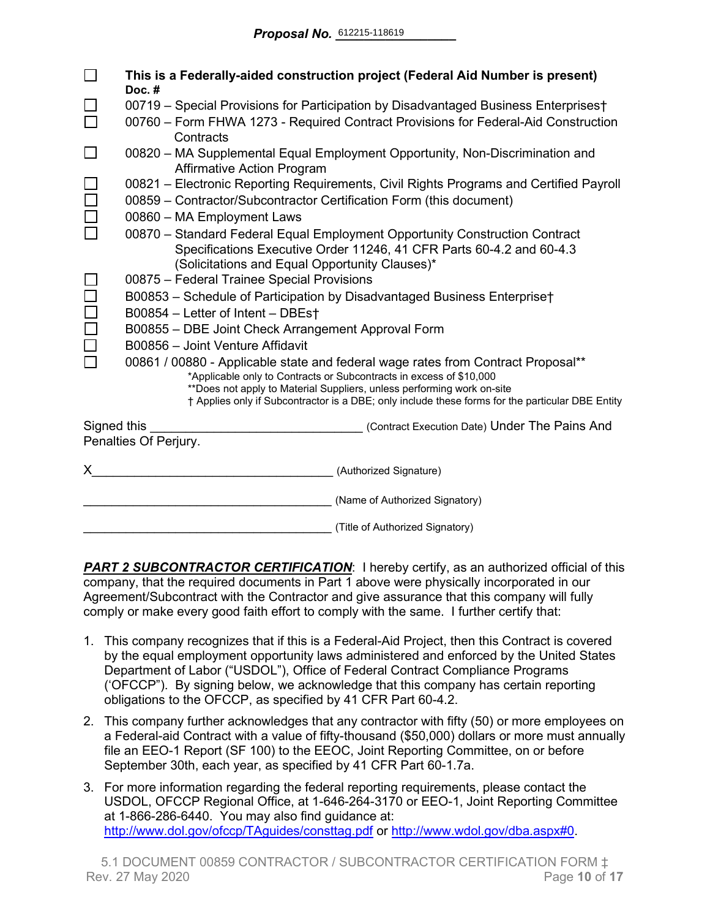|             | This is a Federally-aided construction project (Federal Aid Number is present)<br>Doc.#                                                                 |  |  |  |  |  |  |  |  |  |
|-------------|---------------------------------------------------------------------------------------------------------------------------------------------------------|--|--|--|--|--|--|--|--|--|
|             | 00719 - Special Provisions for Participation by Disadvantaged Business Enterprises†                                                                     |  |  |  |  |  |  |  |  |  |
|             | 00760 – Form FHWA 1273 - Required Contract Provisions for Federal-Aid Construction<br>Contracts                                                         |  |  |  |  |  |  |  |  |  |
| $\Box$      | 00820 - MA Supplemental Equal Employment Opportunity, Non-Discrimination and<br><b>Affirmative Action Program</b>                                       |  |  |  |  |  |  |  |  |  |
|             | 00821 – Electronic Reporting Requirements, Civil Rights Programs and Certified Payroll                                                                  |  |  |  |  |  |  |  |  |  |
|             | 00859 - Contractor/Subcontractor Certification Form (this document)                                                                                     |  |  |  |  |  |  |  |  |  |
|             | 00860 - MA Employment Laws                                                                                                                              |  |  |  |  |  |  |  |  |  |
|             | 00870 - Standard Federal Equal Employment Opportunity Construction Contract                                                                             |  |  |  |  |  |  |  |  |  |
|             | Specifications Executive Order 11246, 41 CFR Parts 60-4.2 and 60-4.3                                                                                    |  |  |  |  |  |  |  |  |  |
|             | (Solicitations and Equal Opportunity Clauses)*                                                                                                          |  |  |  |  |  |  |  |  |  |
|             | 00875 - Federal Trainee Special Provisions                                                                                                              |  |  |  |  |  |  |  |  |  |
|             | B00853 - Schedule of Participation by Disadvantaged Business Enterprise†                                                                                |  |  |  |  |  |  |  |  |  |
|             | B00854 - Letter of Intent - DBEst                                                                                                                       |  |  |  |  |  |  |  |  |  |
|             | B00855 - DBE Joint Check Arrangement Approval Form                                                                                                      |  |  |  |  |  |  |  |  |  |
|             | B00856 - Joint Venture Affidavit                                                                                                                        |  |  |  |  |  |  |  |  |  |
|             | 00861 / 00880 - Applicable state and federal wage rates from Contract Proposal**<br>*Applicable only to Contracts or Subcontracts in excess of \$10,000 |  |  |  |  |  |  |  |  |  |
|             | **Does not apply to Material Suppliers, unless performing work on-site                                                                                  |  |  |  |  |  |  |  |  |  |
|             | † Applies only if Subcontractor is a DBE; only include these forms for the particular DBE Entity                                                        |  |  |  |  |  |  |  |  |  |
| Signed this | (Contract Execution Date) Under The Pains And                                                                                                           |  |  |  |  |  |  |  |  |  |
|             | Penalties Of Perjury.                                                                                                                                   |  |  |  |  |  |  |  |  |  |
| X.          | (Authorized Signature)                                                                                                                                  |  |  |  |  |  |  |  |  |  |
|             | (Name of Authorized Signatory)                                                                                                                          |  |  |  |  |  |  |  |  |  |
|             | (Title of Authorized Signatory)                                                                                                                         |  |  |  |  |  |  |  |  |  |

**PART 2 SUBCONTRACTOR CERTIFICATION:** I hereby certify, as an authorized official of this company, that the required documents in Part 1 above were physically incorporated in our Agreement/Subcontract with the Contractor and give assurance that this company will fully comply or make every good faith effort to comply with the same. I further certify that:

- 1. This company recognizes that if this is a Federal-Aid Project, then this Contract is covered by the equal employment opportunity laws administered and enforced by the United States Department of Labor ("USDOL"), Office of Federal Contract Compliance Programs ('OFCCP"). By signing below, we acknowledge that this company has certain reporting obligations to the OFCCP, as specified by 41 CFR Part 60-4.2.
- 2. This company further acknowledges that any contractor with fifty (50) or more employees on a Federal-aid Contract with a value of fifty-thousand (\$50,000) dollars or more must annually file an EEO-1 Report (SF 100) to the EEOC, Joint Reporting Committee, on or before September 30th, each year, as specified by 41 CFR Part 60-1.7a.
- 3. For more information regarding the federal reporting requirements, please contact the USDOL, OFCCP Regional Office, at 1-646-264-3170 or EEO-1, Joint Reporting Committee at 1-866-286-6440. You may also find guidance at: <http://www.dol.gov/ofccp/TAguides/consttag.pdf> or [http://www.wdol.gov/dba.aspx#0.](http://www.wdol.gov/dba.aspx#0)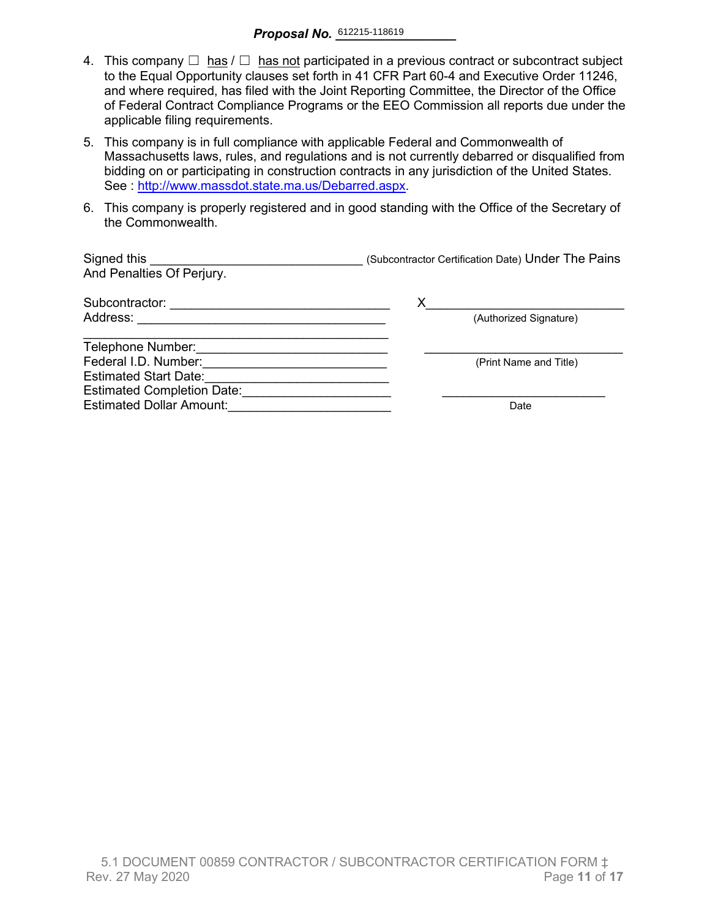- 4. This company  $\Box$  has  $\Box$  has not participated in a previous contract or subcontract subject to the Equal Opportunity clauses set forth in 41 CFR Part 60-4 and Executive Order 11246, and where required, has filed with the Joint Reporting Committee, the Director of the Office of Federal Contract Compliance Programs or the EEO Commission all reports due under the applicable filing requirements.
- 5. This company is in full compliance with applicable Federal and Commonwealth of Massachusetts laws, rules, and regulations and is not currently debarred or disqualified from bidding on or participating in construction contracts in any jurisdiction of the United States. See : http://www.massdot.state.ma.us/Debarred.aspx.
- 6. This company is properly registered and in good standing with the Office of the Secretary of the Commonwealth.

| Signed this<br>And Penalties Of Perjury. | (Subcontractor Certification Date) Under The Pains |
|------------------------------------------|----------------------------------------------------|
| Subcontractor:                           | Х                                                  |
| Address:                                 | (Authorized Signature)                             |
| Telephone Number:                        |                                                    |
| Federal I.D. Number:                     | (Print Name and Title)                             |
| <b>Estimated Start Date:</b>             |                                                    |
| <b>Estimated Completion Date:</b>        |                                                    |
| <b>Estimated Dollar Amount:</b>          | Date                                               |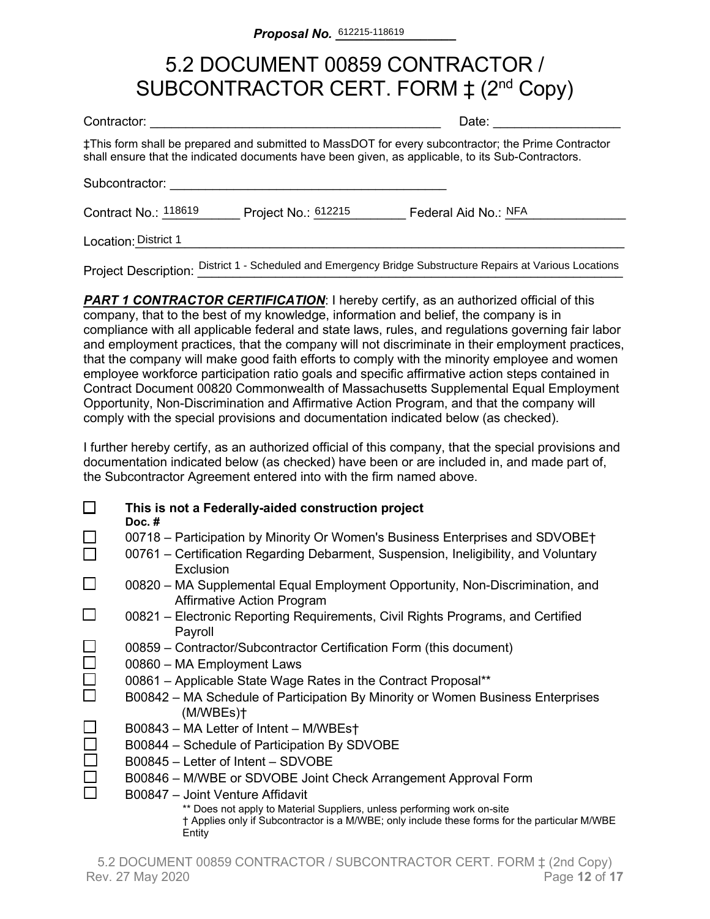## 5.2 DOCUMENT 00859 CONTRACTOR / SUBCONTRACTOR CERT. FORM  $\ddagger$  (2<sup>nd</sup> Copy)

| Contractor:          |                     | Date:                                                                                                                                                                                                    |
|----------------------|---------------------|----------------------------------------------------------------------------------------------------------------------------------------------------------------------------------------------------------|
|                      |                     | ‡This form shall be prepared and submitted to MassDOT for every subcontractor; the Prime Contractor<br>shall ensure that the indicated documents have been given, as applicable, to its Sub-Contractors. |
| Subcontractor:       |                     |                                                                                                                                                                                                          |
| Contract No.: 118619 | Project No.: 612215 | Federal Aid No.: NFA                                                                                                                                                                                     |
| Location: District 1 |                     |                                                                                                                                                                                                          |

Project Description: District 1 - Scheduled and Emergency Bridge Substructure Repairs at Various Locations

**PART 1 CONTRACTOR CERTIFICATION:** I hereby certify, as an authorized official of this company, that to the best of my knowledge, information and belief, the company is in compliance with all applicable federal and state laws, rules, and regulations governing fair labor and employment practices, that the company will not discriminate in their employment practices, that the company will make good faith efforts to comply with the minority employee and women employee workforce participation ratio goals and specific affirmative action steps contained in Contract Document 00820 Commonwealth of Massachusetts Supplemental Equal Employment Opportunity, Non-Discrimination and Affirmative Action Program, and that the company will comply with the special provisions and documentation indicated below (as checked).

I further hereby certify, as an authorized official of this company, that the special provisions and documentation indicated below (as checked) have been or are included in, and made part of, the Subcontractor Agreement entered into with the firm named above.

| This is not a Federally-aided construction project<br>Doc. $#$                                                                                                                     |
|------------------------------------------------------------------------------------------------------------------------------------------------------------------------------------|
| 00718 – Participation by Minority Or Women's Business Enterprises and SDVOBE†                                                                                                      |
| 00761 – Certification Regarding Debarment, Suspension, Ineligibility, and Voluntary<br>Exclusion                                                                                   |
| 00820 – MA Supplemental Equal Employment Opportunity, Non-Discrimination, and<br><b>Affirmative Action Program</b>                                                                 |
| 00821 – Electronic Reporting Requirements, Civil Rights Programs, and Certified<br>Payroll                                                                                         |
| 00859 - Contractor/Subcontractor Certification Form (this document)                                                                                                                |
| 00860 - MA Employment Laws                                                                                                                                                         |
| 00861 - Applicable State Wage Rates in the Contract Proposal**                                                                                                                     |
| B00842 – MA Schedule of Participation By Minority or Women Business Enterprises<br>(M/WBEs)                                                                                        |
| B00843 - MA Letter of Intent - M/WBEst                                                                                                                                             |
| B00844 - Schedule of Participation By SDVOBE                                                                                                                                       |
| B00845 – Letter of Intent – SDVOBE                                                                                                                                                 |
| B00846 – M/WBE or SDVOBE Joint Check Arrangement Approval Form                                                                                                                     |
| B00847 - Joint Venture Affidavit                                                                                                                                                   |
| ** Does not apply to Material Suppliers, unless performing work on-site<br>† Applies only if Subcontractor is a M/WBE; only include these forms for the particular M/WBE<br>Entity |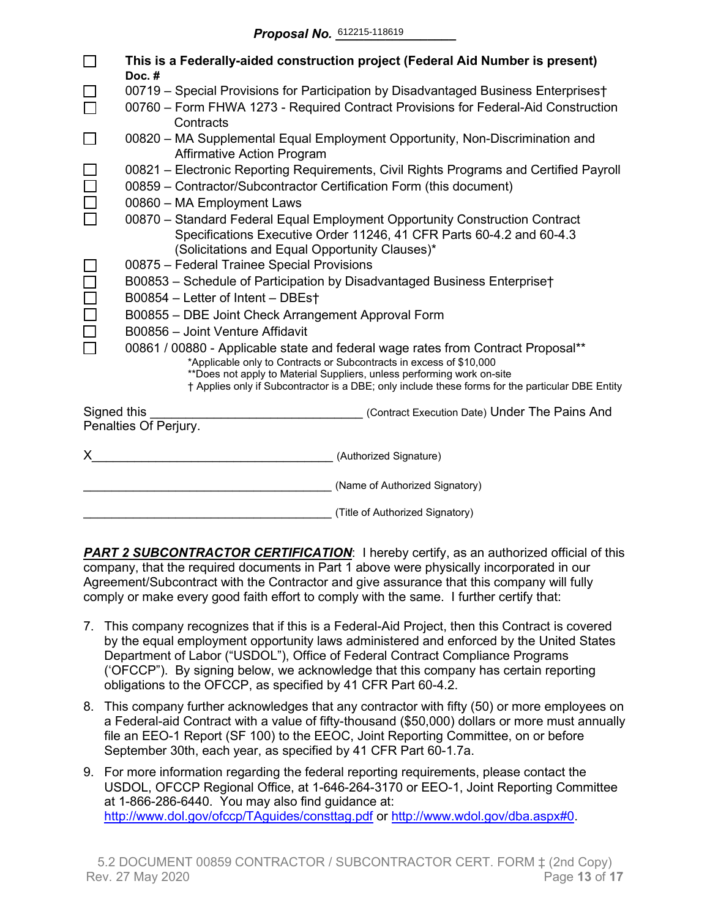|             | This is a Federally-aided construction project (Federal Aid Number is present)<br>Doc.#                                                                                                                                                                                                                                               |  |  |  |  |  |  |  |  |  |
|-------------|---------------------------------------------------------------------------------------------------------------------------------------------------------------------------------------------------------------------------------------------------------------------------------------------------------------------------------------|--|--|--|--|--|--|--|--|--|
|             | 00719 - Special Provisions for Participation by Disadvantaged Business Enterprises†                                                                                                                                                                                                                                                   |  |  |  |  |  |  |  |  |  |
|             | 00760 - Form FHWA 1273 - Required Contract Provisions for Federal-Aid Construction<br>Contracts                                                                                                                                                                                                                                       |  |  |  |  |  |  |  |  |  |
|             | 00820 – MA Supplemental Equal Employment Opportunity, Non-Discrimination and<br><b>Affirmative Action Program</b>                                                                                                                                                                                                                     |  |  |  |  |  |  |  |  |  |
|             | 00821 – Electronic Reporting Requirements, Civil Rights Programs and Certified Payroll<br>00859 - Contractor/Subcontractor Certification Form (this document)                                                                                                                                                                         |  |  |  |  |  |  |  |  |  |
|             | 00860 - MA Employment Laws                                                                                                                                                                                                                                                                                                            |  |  |  |  |  |  |  |  |  |
|             | 00870 - Standard Federal Equal Employment Opportunity Construction Contract<br>Specifications Executive Order 11246, 41 CFR Parts 60-4.2 and 60-4.3<br>(Solicitations and Equal Opportunity Clauses)*                                                                                                                                 |  |  |  |  |  |  |  |  |  |
|             | 00875 - Federal Trainee Special Provisions                                                                                                                                                                                                                                                                                            |  |  |  |  |  |  |  |  |  |
|             | B00853 - Schedule of Participation by Disadvantaged Business Enterprise†                                                                                                                                                                                                                                                              |  |  |  |  |  |  |  |  |  |
|             | B00854 - Letter of Intent - DBEst                                                                                                                                                                                                                                                                                                     |  |  |  |  |  |  |  |  |  |
|             | B00855 - DBE Joint Check Arrangement Approval Form                                                                                                                                                                                                                                                                                    |  |  |  |  |  |  |  |  |  |
|             | B00856 - Joint Venture Affidavit                                                                                                                                                                                                                                                                                                      |  |  |  |  |  |  |  |  |  |
|             | 00861 / 00880 - Applicable state and federal wage rates from Contract Proposal**<br>*Applicable only to Contracts or Subcontracts in excess of \$10,000<br>**Does not apply to Material Suppliers, unless performing work on-site<br>† Applies only if Subcontractor is a DBE; only include these forms for the particular DBE Entity |  |  |  |  |  |  |  |  |  |
| Signed this | (Contract Execution Date) Under The Pains And                                                                                                                                                                                                                                                                                         |  |  |  |  |  |  |  |  |  |
|             | Penalties Of Perjury.                                                                                                                                                                                                                                                                                                                 |  |  |  |  |  |  |  |  |  |
| X.          | (Authorized Signature)                                                                                                                                                                                                                                                                                                                |  |  |  |  |  |  |  |  |  |
|             | (Name of Authorized Signatory)                                                                                                                                                                                                                                                                                                        |  |  |  |  |  |  |  |  |  |
|             | (Title of Authorized Signatory)                                                                                                                                                                                                                                                                                                       |  |  |  |  |  |  |  |  |  |

**PART 2 SUBCONTRACTOR CERTIFICATION:** I hereby certify, as an authorized official of this company, that the required documents in Part 1 above were physically incorporated in our Agreement/Subcontract with the Contractor and give assurance that this company will fully comply or make every good faith effort to comply with the same. I further certify that:

- 7. This company recognizes that if this is a Federal-Aid Project, then this Contract is covered by the equal employment opportunity laws administered and enforced by the United States Department of Labor ("USDOL"), Office of Federal Contract Compliance Programs ('OFCCP"). By signing below, we acknowledge that this company has certain reporting obligations to the OFCCP, as specified by 41 CFR Part 60-4.2.
- 8. This company further acknowledges that any contractor with fifty (50) or more employees on a Federal-aid Contract with a value of fifty-thousand (\$50,000) dollars or more must annually file an EEO-1 Report (SF 100) to the EEOC, Joint Reporting Committee, on or before September 30th, each year, as specified by 41 CFR Part 60-1.7a.
- 9. For more information regarding the federal reporting requirements, please contact the USDOL, OFCCP Regional Office, at 1-646-264-3170 or EEO-1, Joint Reporting Committee at 1-866-286-6440. You may also find guidance at: <http://www.dol.gov/ofccp/TAguides/consttag.pdf> or [http://www.wdol.gov/dba.aspx#0.](http://www.wdol.gov/dba.aspx#0)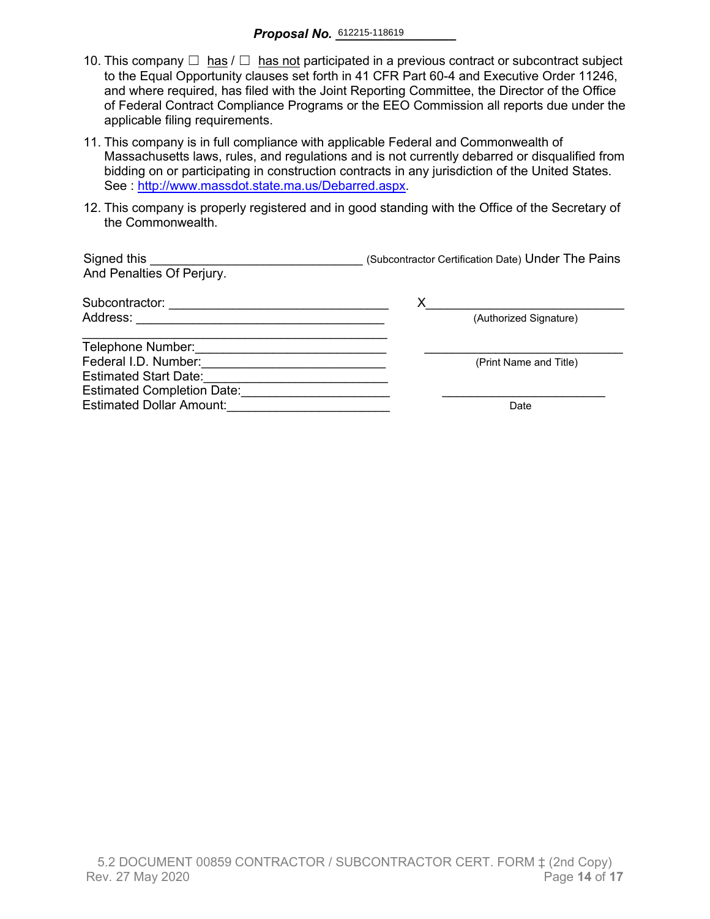- 10. This company  $\Box$  has  $\Box$  has not participated in a previous contract or subcontract subject to the Equal Opportunity clauses set forth in 41 CFR Part 60-4 and Executive Order 11246, and where required, has filed with the Joint Reporting Committee, the Director of the Office of Federal Contract Compliance Programs or the EEO Commission all reports due under the applicable filing requirements.
- 11. This company is in full compliance with applicable Federal and Commonwealth of Massachusetts laws, rules, and regulations and is not currently debarred or disqualified from bidding on or participating in construction contracts in any jurisdiction of the United States. See : [http://www.massdot.state.ma.us/Debarred.aspx.](http://www.massdot.state.ma.us/Debarred.aspx)
- 12. This company is properly registered and in good standing with the Office of the Secretary of the Commonwealth.

| Signed this<br>And Penalties Of Perjury. | (Subcontractor Certification Date) Under The Pains |
|------------------------------------------|----------------------------------------------------|
| Subcontractor:                           | х                                                  |
| Address:                                 | (Authorized Signature)                             |
| Telephone Number:                        |                                                    |
| Federal I.D. Number:                     | (Print Name and Title)                             |
| <b>Estimated Start Date:</b>             |                                                    |
| <b>Estimated Completion Date:</b>        |                                                    |
| <b>Estimated Dollar Amount:</b>          | Date                                               |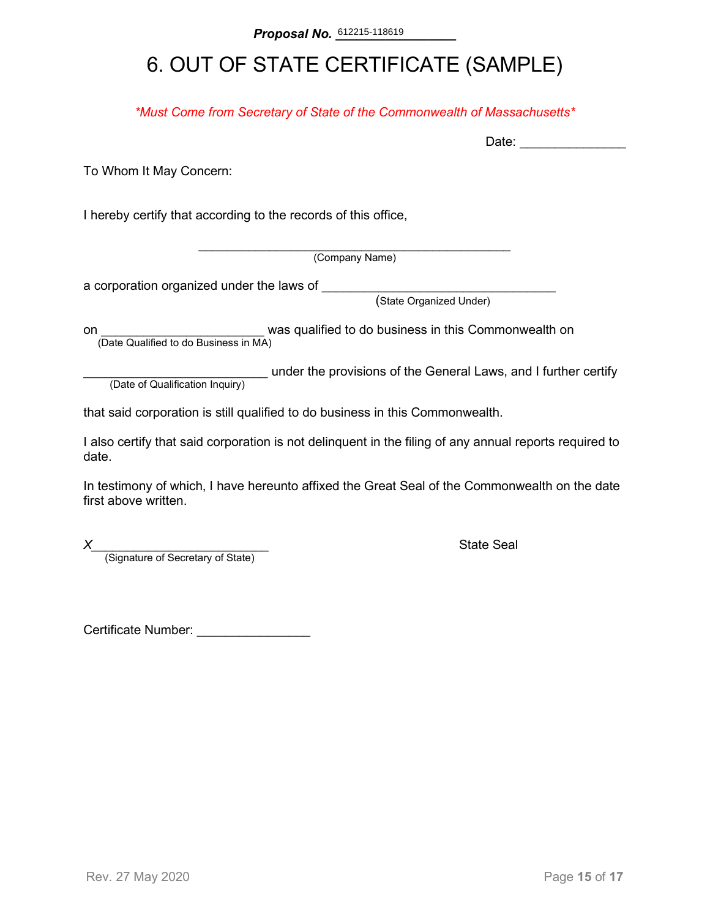## 6. OUT OF STATE CERTIFICATE (SAMPLE)

*\*Must Come from Secretary of State of the Commonwealth of Massachusetts\**

To Whom It May Concern:

I hereby certify that according to the records of this office,

\_\_\_\_\_\_\_\_\_\_\_\_\_\_\_\_\_\_\_\_\_\_\_\_\_\_\_\_\_\_\_\_\_\_\_\_\_\_\_\_\_\_\_\_ (Company Name)

a corporation organized under the laws of \_\_\_\_\_\_\_\_

(State Organized Under)

on **on Example 2** was qualified to do business in this Commonwealth on (Date Qualified to do Business in MA)

(Date of Qualification Inquiry) under the provisions of the General Laws, and I further certify (Date of Qualification Inquiry)

that said corporation is still qualified to do business in this Commonwealth.

I also certify that said corporation is not delinquent in the filing of any annual reports required to date.

In testimony of which, I have hereunto affixed the Great Seal of the Commonwealth on the date first above written.

*X*<br>(Signature of Secretary of State) **Alternative State Seal (Signature of Secretary of State)** 

Certificate Number: \_\_\_\_\_\_\_\_\_\_\_\_\_\_\_\_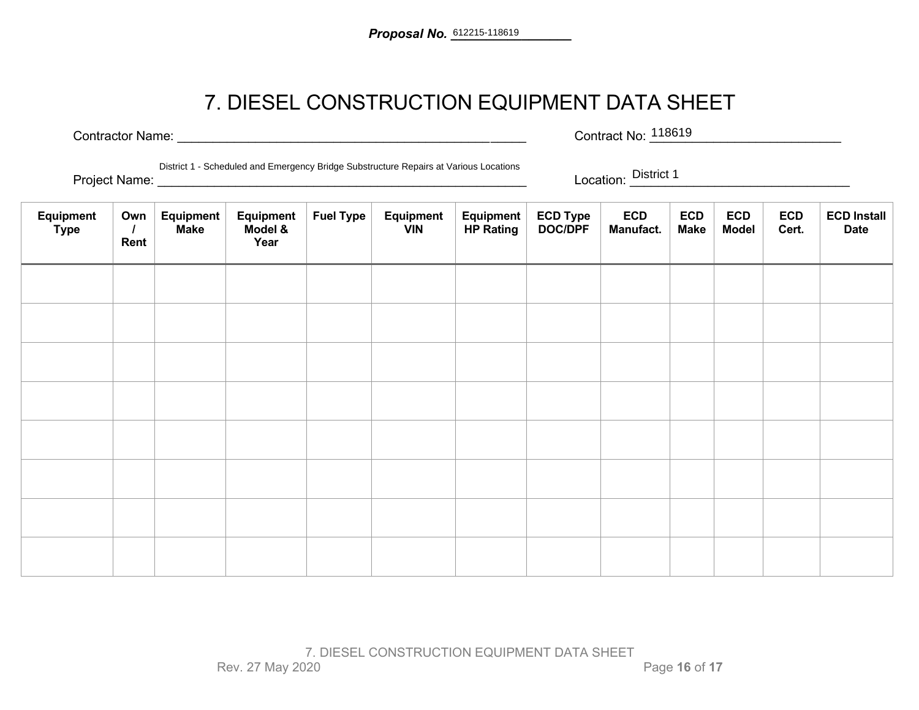## 7. DIESEL CONSTRUCTION EQUIPMENT DATA SHEET

Contractor Name: \_\_\_\_\_\_\_\_\_\_\_\_\_\_\_\_\_\_\_\_\_\_\_\_\_\_\_\_\_\_\_\_\_\_\_\_\_\_\_\_\_\_\_\_\_\_\_\_\_ Contract No: \_\_\_\_\_\_\_\_\_\_\_\_\_\_\_\_\_\_\_\_\_\_\_\_\_\_\_

Contract No: <sup>118619</sup>

District 1 - Scheduled and Emergency Bridge Substructure Repairs at Various Locations

Project Name: \_\_\_\_\_\_\_\_\_\_\_\_\_\_\_\_\_\_\_\_\_\_\_\_\_\_\_\_\_\_\_\_\_\_\_\_\_\_\_\_\_\_\_\_\_\_\_\_\_\_\_\_ Location: \_\_\_\_\_\_\_\_\_\_\_\_\_\_\_\_\_\_\_\_\_\_\_\_\_\_\_\_\_\_\_

Location: District 1

| Equipment<br><b>Type</b> | Own<br>Rent | <b>Equipment</b><br><b>Make</b> | Equipment<br>Model &<br>Year | <b>Fuel Type</b> | Equipment<br><b>VIN</b> | <b>Equipment</b><br><b>HP Rating</b> | ECD Type<br>DOC/DPF | <b>ECD</b><br>Manufact. | <b>ECD</b><br><b>Make</b> | <b>ECD</b><br><b>Model</b> | <b>ECD</b><br>Cert. | <b>ECD Install</b><br><b>Date</b> |
|--------------------------|-------------|---------------------------------|------------------------------|------------------|-------------------------|--------------------------------------|---------------------|-------------------------|---------------------------|----------------------------|---------------------|-----------------------------------|
|                          |             |                                 |                              |                  |                         |                                      |                     |                         |                           |                            |                     |                                   |
|                          |             |                                 |                              |                  |                         |                                      |                     |                         |                           |                            |                     |                                   |
|                          |             |                                 |                              |                  |                         |                                      |                     |                         |                           |                            |                     |                                   |
|                          |             |                                 |                              |                  |                         |                                      |                     |                         |                           |                            |                     |                                   |
|                          |             |                                 |                              |                  |                         |                                      |                     |                         |                           |                            |                     |                                   |
|                          |             |                                 |                              |                  |                         |                                      |                     |                         |                           |                            |                     |                                   |
|                          |             |                                 |                              |                  |                         |                                      |                     |                         |                           |                            |                     |                                   |
|                          |             |                                 |                              |                  |                         |                                      |                     |                         |                           |                            |                     |                                   |